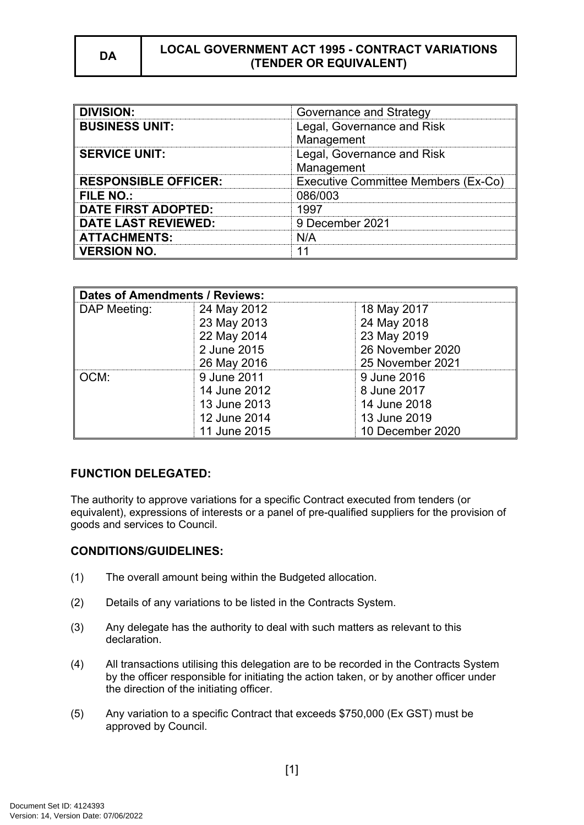| <b>DIVISION:</b>            | Governance and Strategy                  |
|-----------------------------|------------------------------------------|
| <b>BUSINESS UNIT:</b>       | Legal, Governance and Risk<br>Management |
| <b>SERVICE UNIT:</b>        | Legal, Governance and Risk<br>Management |
| <b>RESPONSIBLE OFFICER:</b> | Executive Committee Members (Ex-Co)      |
| <b>FILE NO.:</b>            | 086/003                                  |
| <b>DATE FIRST ADOPTED:</b>  | 1997                                     |
| <b>DATE LAST REVIEWED:</b>  | 9 December 2021                          |
| <b>ATTACHMENTS:</b>         | N/A                                      |
| <b>VERSION NO.</b>          |                                          |

| <b>Dates of Amendments / Reviews:</b> |              |                  |
|---------------------------------------|--------------|------------------|
| DAP Meeting:                          | 24 May 2012  | 18 May 2017      |
|                                       | 23 May 2013  | 24 May 2018      |
|                                       | 22 May 2014  | 23 May 2019      |
|                                       | 2 June 2015  | 26 November 2020 |
|                                       | 26 May 2016  | 25 November 2021 |
| OCM:                                  | 9 June 2011  | 9 June 2016      |
|                                       | 14 June 2012 | 8 June 2017      |
|                                       | 13 June 2013 | 14 June 2018     |
|                                       | 12 June 2014 | 13 June 2019     |
|                                       | 11 June 2015 | 10 December 2020 |

## **FUNCTION DELEGATED:**

The authority to approve variations for a specific Contract executed from tenders (or equivalent), expressions of interests or a panel of pre-qualified suppliers for the provision of goods and services to Council.

### **CONDITIONS/GUIDELINES:**

- (1) The overall amount being within the Budgeted allocation.
- (2) Details of any variations to be listed in the Contracts System.
- (3) Any delegate has the authority to deal with such matters as relevant to this declaration.
- (4) All transactions utilising this delegation are to be recorded in the Contracts System by the officer responsible for initiating the action taken, or by another officer under the direction of the initiating officer.
- (5) Any variation to a specific Contract that exceeds \$750,000 (Ex GST) must be approved by Council.